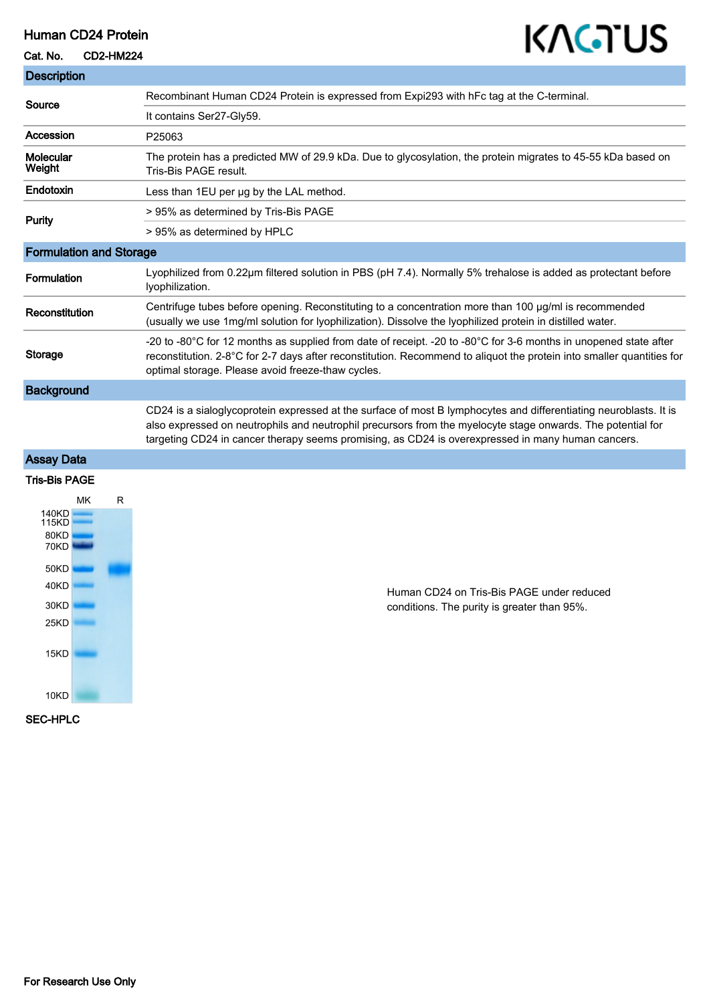### Human CD24 Protein

## Cat. No. CD2-HM224

# KAGTUS

| <b>Description</b>             |   |                                                                                                                                                                                                                                                                                                                                       |
|--------------------------------|---|---------------------------------------------------------------------------------------------------------------------------------------------------------------------------------------------------------------------------------------------------------------------------------------------------------------------------------------|
| Source                         |   | Recombinant Human CD24 Protein is expressed from Expi293 with hFc tag at the C-terminal.                                                                                                                                                                                                                                              |
|                                |   | It contains Ser27-Gly59.                                                                                                                                                                                                                                                                                                              |
| <b>Accession</b>               |   | P25063                                                                                                                                                                                                                                                                                                                                |
| Molecular<br>Weight            |   | The protein has a predicted MW of 29.9 kDa. Due to glycosylation, the protein migrates to 45-55 kDa based on<br>Tris-Bis PAGE result.                                                                                                                                                                                                 |
| Endotoxin                      |   | Less than 1EU per ug by the LAL method.                                                                                                                                                                                                                                                                                               |
| <b>Purity</b>                  |   | > 95% as determined by Tris-Bis PAGE                                                                                                                                                                                                                                                                                                  |
|                                |   | > 95% as determined by HPLC                                                                                                                                                                                                                                                                                                           |
| <b>Formulation and Storage</b> |   |                                                                                                                                                                                                                                                                                                                                       |
| <b>Formulation</b>             |   | Lyophilized from 0.22µm filtered solution in PBS (pH 7.4). Normally 5% trehalose is added as protectant before<br>lyophilization.                                                                                                                                                                                                     |
| Reconstitution                 |   | Centrifuge tubes before opening. Reconstituting to a concentration more than 100 µg/ml is recommended<br>(usually we use 1mg/ml solution for lyophilization). Dissolve the lyophilized protein in distilled water.                                                                                                                    |
| <b>Storage</b>                 |   | -20 to -80°C for 12 months as supplied from date of receipt. -20 to -80°C for 3-6 months in unopened state after<br>reconstitution. 2-8°C for 2-7 days after reconstitution. Recommend to aliquot the protein into smaller quantities for<br>optimal storage. Please avoid freeze-thaw cycles.                                        |
| <b>Background</b>              |   |                                                                                                                                                                                                                                                                                                                                       |
|                                |   | CD24 is a sialoglycoprotein expressed at the surface of most B lymphocytes and differentiating neuroblasts. It is<br>also expressed on neutrophils and neutrophil precursors from the myelocyte stage onwards. The potential for<br>targeting CD24 in cancer therapy seems promising, as CD24 is overexpressed in many human cancers. |
| <b>Assay Data</b>              |   |                                                                                                                                                                                                                                                                                                                                       |
| <b>Tris-Bis PAGE</b>           |   |                                                                                                                                                                                                                                                                                                                                       |
| МK                             | R |                                                                                                                                                                                                                                                                                                                                       |
| 140KD<br>115KD                 |   |                                                                                                                                                                                                                                                                                                                                       |
| 80KD<br>70KD                   |   |                                                                                                                                                                                                                                                                                                                                       |
| 50KD<br>40KD                   |   |                                                                                                                                                                                                                                                                                                                                       |

Human CD24 on Tris-Bis PAGE under reduced conditions. The purity is greater than 95%.

SEC-HPLC

30KD  $25KD$ 

15KD

 $10KD$